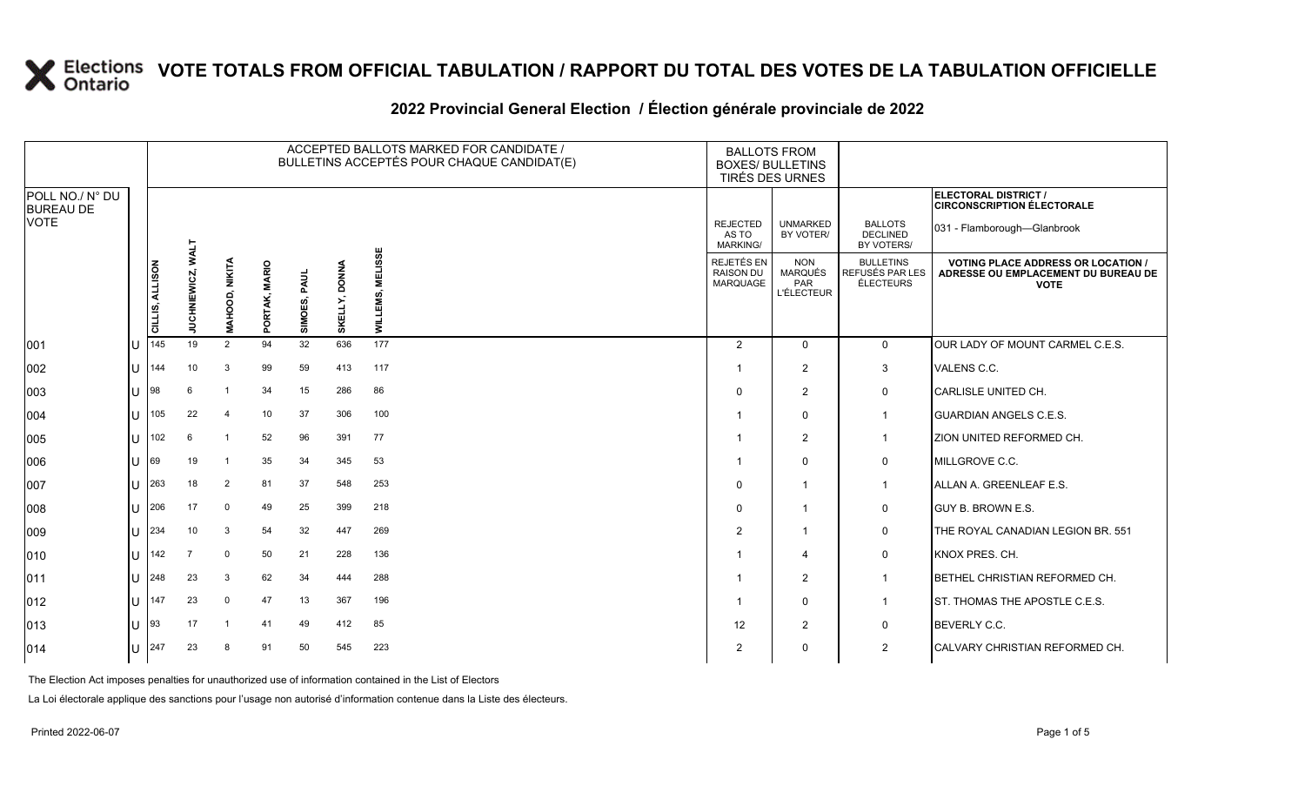#### **2022 Provincial General Election / Élection générale provinciale de 2022**

|                                     |   |                 |                          |                |               |                 |                         | ACCEPTED BALLOTS MARKED FOR CANDIDATE /<br>BULLETINS ACCEPTÉS POUR CHAQUE CANDIDAT(E) | <b>BALLOTS FROM</b><br><b>BOXES/ BULLETINS</b><br>TIRÉS DES URNES |                                                          |                                                  |                                                                                                 |
|-------------------------------------|---|-----------------|--------------------------|----------------|---------------|-----------------|-------------------------|---------------------------------------------------------------------------------------|-------------------------------------------------------------------|----------------------------------------------------------|--------------------------------------------------|-------------------------------------------------------------------------------------------------|
| POLL NO./ N° DU<br><b>BUREAU DE</b> |   |                 |                          |                |               |                 |                         |                                                                                       |                                                                   |                                                          |                                                  | ELECTORAL DISTRICT /<br><b>CIRCONSCRIPTION ÉLECTORALE</b>                                       |
| <b>VOTE</b>                         |   |                 |                          |                |               |                 |                         |                                                                                       | <b>REJECTED</b><br>AS TO<br><b>MARKING/</b>                       | <b>UNMARKED</b><br>BY VOTER/                             | <b>BALLOTS</b><br><b>DECLINED</b><br>BY VOTERS/  | 031 - Flamborough-Glanbrook                                                                     |
|                                     |   | CILLIS, ALLISON | <b>JUCHNIEWICZ, WALT</b> | MAHOOD, NIKITA | PORTAK, MARIO | PAUL<br>SIMOES, | <b>DONNA</b><br>SKELLY, | <b>MELISSE</b><br>띬<br><b>TTIM</b>                                                    | REJETÉS EN<br><b>RAISON DU</b><br>MARQUAGE                        | <b>NON</b><br><b>MARQUÉS</b><br>PAR<br><b>L'ÉLECTEUR</b> | <b>BULLETINS</b><br>REFUSÉS PAR LES<br>ÉLECTEURS | <b>VOTING PLACE ADDRESS OR LOCATION /</b><br>ADRESSE OU EMPLACEMENT DU BUREAU DE<br><b>VOTE</b> |
| 001                                 |   | 145             | 19                       | $\overline{2}$ | 94            | 32              | 636                     | 177                                                                                   | 2                                                                 | $\mathbf 0$                                              | $\mathbf{0}$                                     | <b>JOUR LADY OF MOUNT CARMEL C.E.S.</b>                                                         |
| 002                                 | U | 144             | 10                       | 3              | 99            | 59              | 413                     | 117                                                                                   |                                                                   | 2                                                        | 3                                                | VALENS C.C.                                                                                     |
| 003                                 | U | 98              | 6                        | -1             | 34            | 15              | 286                     | 86                                                                                    | $\Omega$                                                          | $\overline{2}$                                           | 0                                                | CARLISLE UNITED CH.                                                                             |
| 004                                 | U | 105             | 22                       | $\overline{4}$ | 10            | 37              | 306                     | 100                                                                                   |                                                                   | $\Omega$                                                 | $\overline{1}$                                   | <b>GUARDIAN ANGELS C.E.S.</b>                                                                   |
| 005                                 | U | 102             | 6                        | $\overline{1}$ | 52            | 96              | 391                     | 77                                                                                    |                                                                   | $\overline{2}$                                           | $\mathbf 1$                                      | ZION UNITED REFORMED CH.                                                                        |
| 006                                 | U | 69              | 19                       | $\overline{1}$ | 35            | 34              | 345                     | 53                                                                                    |                                                                   | $\Omega$                                                 | 0                                                | MILLGROVE C.C.                                                                                  |
| 007                                 | U | 263             | 18                       | 2              | 81            | 37              | 548                     | 253                                                                                   | $\Omega$                                                          | $\overline{\mathbf{1}}$                                  | $\overline{1}$                                   | ALLAN A. GREENLEAF E.S.                                                                         |
| 008                                 | U | 206             | 17                       | 0              | 49            | 25              | 399                     | 218                                                                                   | $\Omega$                                                          | $\overline{\mathbf{1}}$                                  | 0                                                | <b>GUY B. BROWN E.S.</b>                                                                        |
| 009                                 | U | 234             | 10                       | 3              | 54            | 32              | 447                     | 269                                                                                   | 2                                                                 | $\overline{\mathbf{1}}$                                  | 0                                                | THE ROYAL CANADIAN LEGION BR. 551                                                               |
| 010                                 | U | 142             |                          | $\mathbf 0$    | 50            | 21              | 228                     | 136                                                                                   |                                                                   | $\overline{4}$                                           | 0                                                | KNOX PRES. CH.                                                                                  |
| 011                                 | U | 248             | 23                       | 3              | 62            | 34              | 444                     | 288                                                                                   |                                                                   | $\overline{2}$                                           | -1                                               | BETHEL CHRISTIAN REFORMED CH.                                                                   |
| 012                                 | U | 147             | 23                       | $\mathbf 0$    | 47            | 13              | 367                     | 196                                                                                   |                                                                   | $\mathbf 0$                                              | $\mathbf 1$                                      | ST. THOMAS THE APOSTLE C.E.S.                                                                   |
| 013                                 | U | 93              | 17                       | $\overline{1}$ | 41            | 49              | 412                     | 85                                                                                    | 12                                                                | 2                                                        | 0                                                | BEVERLY C.C.                                                                                    |
| 014                                 | U | 247             | 23                       | 8              | 91            | 50              | 545                     | 223                                                                                   | $\overline{2}$                                                    | $\Omega$                                                 | $\overline{2}$                                   | CALVARY CHRISTIAN REFORMED CH.                                                                  |

The Election Act imposes penalties for unauthorized use of information contained in the List of Electors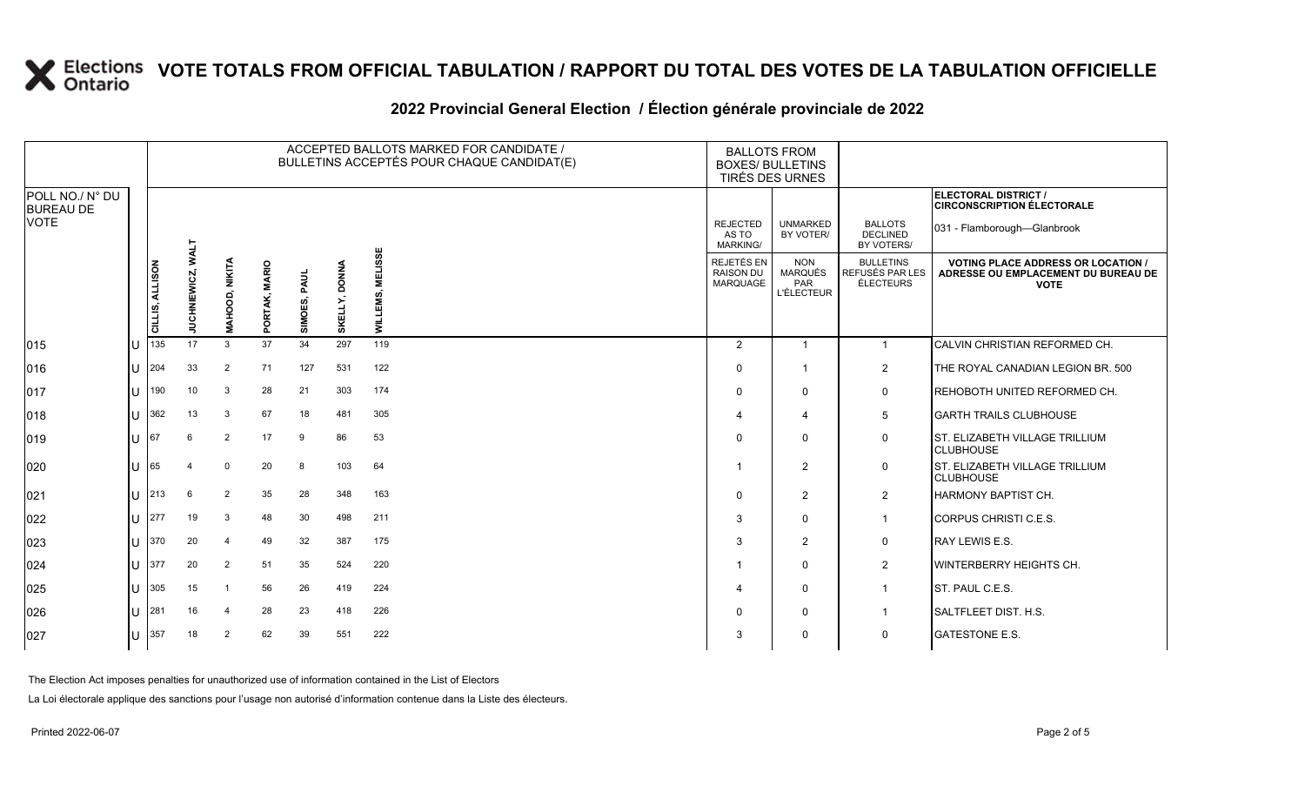|                                     |              |                 |                          |                |               |              |                         | ACCEPTED BALLOTS MARKED FOR CANDIDATE /<br>BULLETINS ACCEPTÉS POUR CHAQUE CANDIDAT(E) | <b>BALLOTS FROM</b><br><b>BOXES/ BULLETINS</b><br>TIRÉS DES URNES |                                                          |                                                  |                                                                                                 |
|-------------------------------------|--------------|-----------------|--------------------------|----------------|---------------|--------------|-------------------------|---------------------------------------------------------------------------------------|-------------------------------------------------------------------|----------------------------------------------------------|--------------------------------------------------|-------------------------------------------------------------------------------------------------|
| POLL NO./ N° DU<br><b>BUREAU DE</b> |              |                 |                          |                |               |              |                         |                                                                                       |                                                                   |                                                          |                                                  | ELECTORAL DISTRICT /<br><b>CIRCONSCRIPTION ÉLECTORALE</b>                                       |
| <b>VOTE</b>                         |              |                 |                          |                |               |              |                         | မ္တ                                                                                   | <b>REJECTED</b><br>AS TO<br><b>MARKING/</b>                       | <b>UNMARKED</b><br>BY VOTER/                             | <b>BALLOTS</b><br><b>DECLINED</b><br>BY VOTERS/  | 031 - Flamborough-Glanbrook                                                                     |
|                                     |              | CILLIS, ALLISON | <b>JUCHNIEWICZ, WALT</b> | MAHOOD, NIKITA | PORTAK, MARIO | SIMOES, PAUL | <b>DONNA</b><br>SKELLY, | Ö<br>NE LI<br>MILT                                                                    | <b>REJETÉS EN</b><br><b>RAISON DU</b><br><b>MARQUAGE</b>          | <b>NON</b><br><b>MARQUÉS</b><br>PAR<br><b>L'ÉLECTEUR</b> | <b>BULLETINS</b><br>REFUSÉS PAR LES<br>ÉLECTEURS | <b>VOTING PLACE ADDRESS OR LOCATION /</b><br>ADRESSE OU EMPLACEMENT DU BUREAU DE<br><b>VOTE</b> |
| 015                                 | U            | 135             | 17                       | 3              | 37            | 34           | 297                     | 119                                                                                   | 2                                                                 | $\overline{1}$                                           | $\overline{1}$                                   | CALVIN CHRISTIAN REFORMED CH.                                                                   |
| 016                                 | U            | 204             | 33                       | 2              | 71            | 127          | 531                     | 122                                                                                   | $\Omega$                                                          | $\overline{\mathbf{1}}$                                  | 2                                                | THE ROYAL CANADIAN LEGION BR. 500                                                               |
| 017                                 | U            | 190             | 10                       | 3              | 28            | 21           | 303                     | 174                                                                                   | $\Omega$                                                          | $\mathbf 0$                                              | $\mathbf 0$                                      | REHOBOTH UNITED REFORMED CH.                                                                    |
| 018                                 | U            | 362             | 13                       | 3              | 67            | 18           | 481                     | 305                                                                                   | 4                                                                 | $\boldsymbol{\Delta}$                                    | 5                                                | <b>GARTH TRAILS CLUBHOUSE</b>                                                                   |
| 019                                 | U            | 167             | 6                        | $\overline{2}$ | 17            | 9            | 86                      | 53                                                                                    | $\Omega$                                                          | $\mathbf 0$                                              | $\mathbf 0$                                      | ST. ELIZABETH VILLAGE TRILLIUM<br><b>CLUBHOUSE</b>                                              |
| 020                                 | Н            | 65              |                          | $\mathbf 0$    | 20            | 8            | 103                     | 64                                                                                    |                                                                   | $\overline{2}$                                           | $\mathbf 0$                                      | ST. ELIZABETH VILLAGE TRILLIUM<br><b>CLUBHOUSE</b>                                              |
| 021                                 |              | $U$ 213         | 6                        | 2              | 35            | 28           | 348                     | 163                                                                                   | $\Omega$                                                          | $\overline{2}$                                           | 2                                                | <b>HARMONY BAPTIST CH.</b>                                                                      |
| 022                                 | U.           | 277             | 19                       | 3              | 48            | 30           | 498                     | 211                                                                                   | 3                                                                 | $\mathbf 0$                                              | $\overline{1}$                                   | CORPUS CHRISTI C.E.S.                                                                           |
| 023                                 |              | $11$ 370        | 20                       | $\overline{4}$ | 49            | 32           | 387                     | 175                                                                                   | 3                                                                 | 2                                                        | 0                                                | RAY LEWIS E.S.                                                                                  |
| 024                                 | U            | 377             | 20                       | 2              | 51            | 35           | 524                     | 220                                                                                   | -1                                                                | $\mathbf 0$                                              | $\overline{2}$                                   | <b>WINTERBERRY HEIGHTS CH.</b>                                                                  |
| 025                                 | $\mathbf{U}$ | 305             | 15                       |                | 56            | 26           | 419                     | 224                                                                                   | 4                                                                 | $\mathbf 0$                                              | $\overline{1}$                                   | ST. PAUL C.E.S.                                                                                 |
| 026                                 |              | $11$ 281        | 16                       | $\overline{4}$ | 28            | 23           | 418                     | 226                                                                                   | $\Omega$                                                          | 0                                                        | $\overline{1}$                                   | <b>SALTFLEET DIST. H.S.</b>                                                                     |
| 027                                 | U            | 357             | 18                       | $\overline{2}$ | 62            | 39           | 551                     | 222                                                                                   | 3                                                                 | $\mathbf 0$                                              | $\mathbf 0$                                      | <b>GATESTONE E.S.</b>                                                                           |

### **2022 Provincial General Election / Élection générale provinciale de 2022**

The Election Act imposes penalties for unauthorized use of information contained in the List of Electors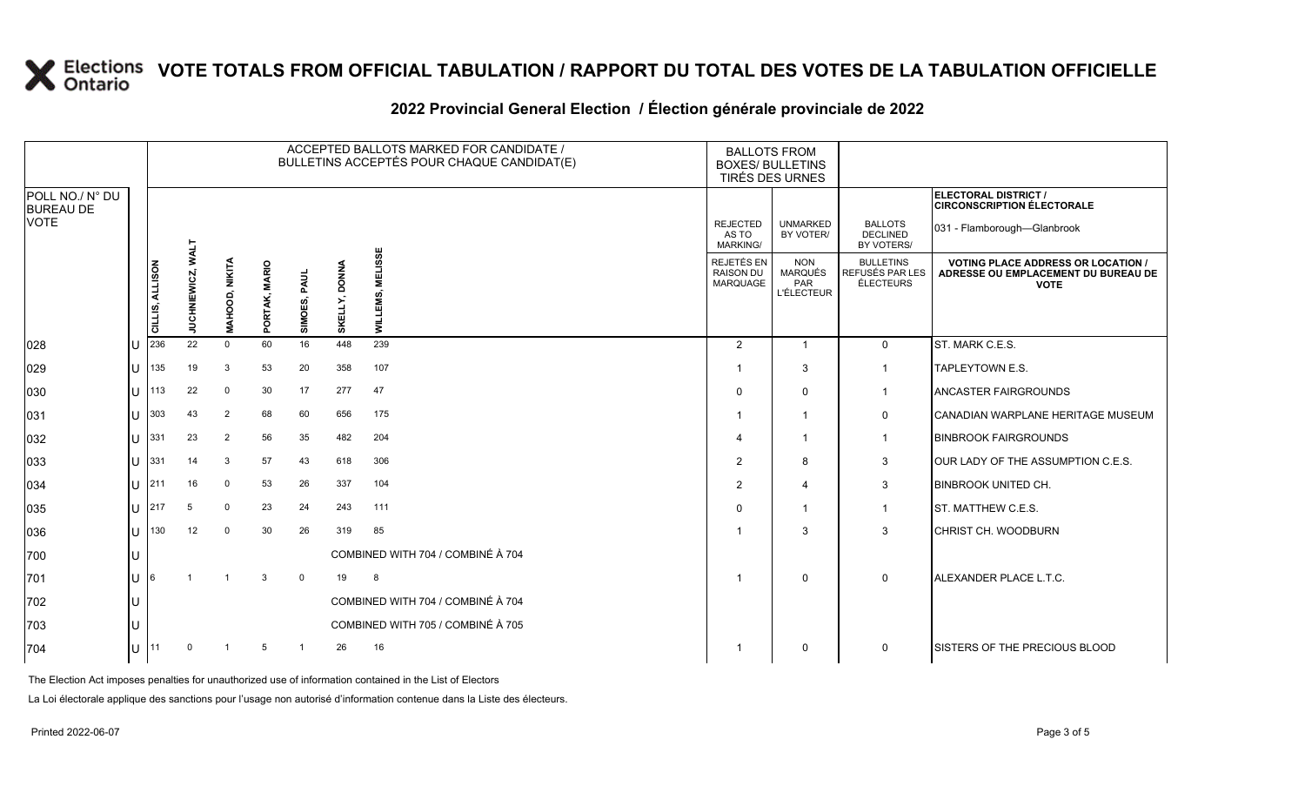|                                     |            |                 |                                    |                       |               |                |                         | ACCEPTED BALLOTS MARKED FOR CANDIDATE /<br>BULLETINS ACCEPTÉS POUR CHAQUE CANDIDAT(E) | <b>BALLOTS FROM</b><br><b>BOXES/ BULLETINS</b><br>TIRÉS DES URNES |                                                   |                                                         |                                                                                                 |
|-------------------------------------|------------|-----------------|------------------------------------|-----------------------|---------------|----------------|-------------------------|---------------------------------------------------------------------------------------|-------------------------------------------------------------------|---------------------------------------------------|---------------------------------------------------------|-------------------------------------------------------------------------------------------------|
| POLL NO./ N° DU<br><b>BUREAU DE</b> |            |                 |                                    |                       |               |                |                         |                                                                                       |                                                                   |                                                   |                                                         | ELECTORAL DISTRICT /<br><b>CIRCONSCRIPTION ÉLECTORALE</b>                                       |
| <b>VOTE</b>                         |            |                 |                                    |                       |               |                |                         |                                                                                       | <b>REJECTED</b><br>AS TO<br><b>MARKING/</b>                       | <b>UNMARKED</b><br>BY VOTER/                      | <b>BALLOTS</b><br><b>DECLINED</b><br>BY VOTERS/         | 031 - Flamborough-Glanbrook                                                                     |
|                                     |            | CILLIS, ALLISON | <b>TTAN</b><br><b>JUCHNIEWICZ,</b> | <b>MAHOOD, NIKITA</b> | PORTAK, MARIO | SIMOES, PAUL   | <b>DONNA</b><br>SKELLY, | <b>MELISSE</b><br>ທ່<br><b>NIIN</b>                                                   | REJETÉS EN<br><b>RAISON DU</b><br>MARQUAGE                        | <b>NON</b><br>MARQUÉS<br>PAR<br><b>L'ÉLECTEUR</b> | <b>BULLETINS</b><br>REFUSÉS PAR LES<br><b>ÉLECTEURS</b> | <b>VOTING PLACE ADDRESS OR LOCATION /</b><br>ADRESSE OU EMPLACEMENT DU BUREAU DE<br><b>VOTE</b> |
| 028                                 | IU         | 236             | 22                                 | $\Omega$              | 60            | 16             | 448                     | 239                                                                                   | 2                                                                 | $\overline{1}$                                    | $\mathbf 0$                                             | ST. MARK C.E.S.                                                                                 |
| 029                                 | IU.        | 135             | 19                                 | 3                     | 53            | 20             | 358                     | 107                                                                                   |                                                                   | 3                                                 | $\mathbf 1$                                             | TAPLEYTOWN E.S.                                                                                 |
| 030                                 | IU.        | 113             | 22                                 | $\mathbf 0$           | 30            | 17             | 277                     | 47                                                                                    | $\Omega$                                                          | $\mathbf 0$                                       |                                                         | <b>ANCASTER FAIRGROUNDS</b>                                                                     |
| 031                                 | IU         | 303             | 43                                 | 2                     | 68            | 60             | 656                     | 175                                                                                   |                                                                   | -1                                                | 0                                                       | CANADIAN WARPLANE HERITAGE MUSEUM                                                               |
| 032                                 | IU         | $331$           | 23                                 | $\overline{2}$        | 56            | 35             | 482                     | 204                                                                                   | Δ                                                                 | -1                                                |                                                         | <b>BINBROOK FAIRGROUNDS</b>                                                                     |
| 033                                 |            | $U$ 331         | 14                                 | 3                     | 57            | 43             | 618                     | 306                                                                                   | 2                                                                 | 8                                                 | 3                                                       | OUR LADY OF THE ASSUMPTION C.E.S.                                                               |
| 034                                 | ΙU         | 1211            | 16                                 | $\mathbf 0$           | 53            | 26             | 337                     | 104                                                                                   | 2                                                                 | $\overline{\mathbf{4}}$                           | 3                                                       | <b>BINBROOK UNITED CH.</b>                                                                      |
| 035                                 | IU         | 1217            | 5                                  | $\mathbf 0$           | 23            | 24             | 243                     | 111                                                                                   | $\Omega$                                                          | -1                                                | $\mathbf{1}$                                            | ST. MATTHEW C.E.S.                                                                              |
| 036                                 |            | $ U $ 130       | 12                                 | $\mathbf 0$           | 30            | 26             | 319                     | 85                                                                                    |                                                                   | 3                                                 | 3                                                       | <b>CHRIST CH. WOODBURN</b>                                                                      |
| 700                                 | IU         |                 |                                    |                       |               |                |                         | COMBINED WITH 704 / COMBINÉ À 704                                                     |                                                                   |                                                   |                                                         |                                                                                                 |
| 701                                 | IU         | 16              |                                    |                       | 3             | $\mathbf 0$    | 19                      | - 8                                                                                   |                                                                   | $\mathbf 0$                                       | $\mathbf 0$                                             | ALEXANDER PLACE L.T.C.                                                                          |
| 702                                 | IU         |                 |                                    |                       |               |                |                         | COMBINED WITH 704 / COMBINÉ À 704                                                     |                                                                   |                                                   |                                                         |                                                                                                 |
| 703                                 | IU         |                 |                                    |                       |               |                |                         | COMBINED WITH 705 / COMBINÉ À 705                                                     |                                                                   |                                                   |                                                         |                                                                                                 |
| 704                                 | $ U ^{11}$ |                 | $\mathbf 0$                        | $\mathbf{1}$          | 5             | $\overline{1}$ | 26                      | 16                                                                                    |                                                                   | $\mathbf 0$                                       | $\mathbf 0$                                             | <b>ISISTERS OF THE PRECIOUS BLOOD</b>                                                           |

### **2022 Provincial General Election / Élection générale provinciale de 2022**

The Election Act imposes penalties for unauthorized use of information contained in the List of Electors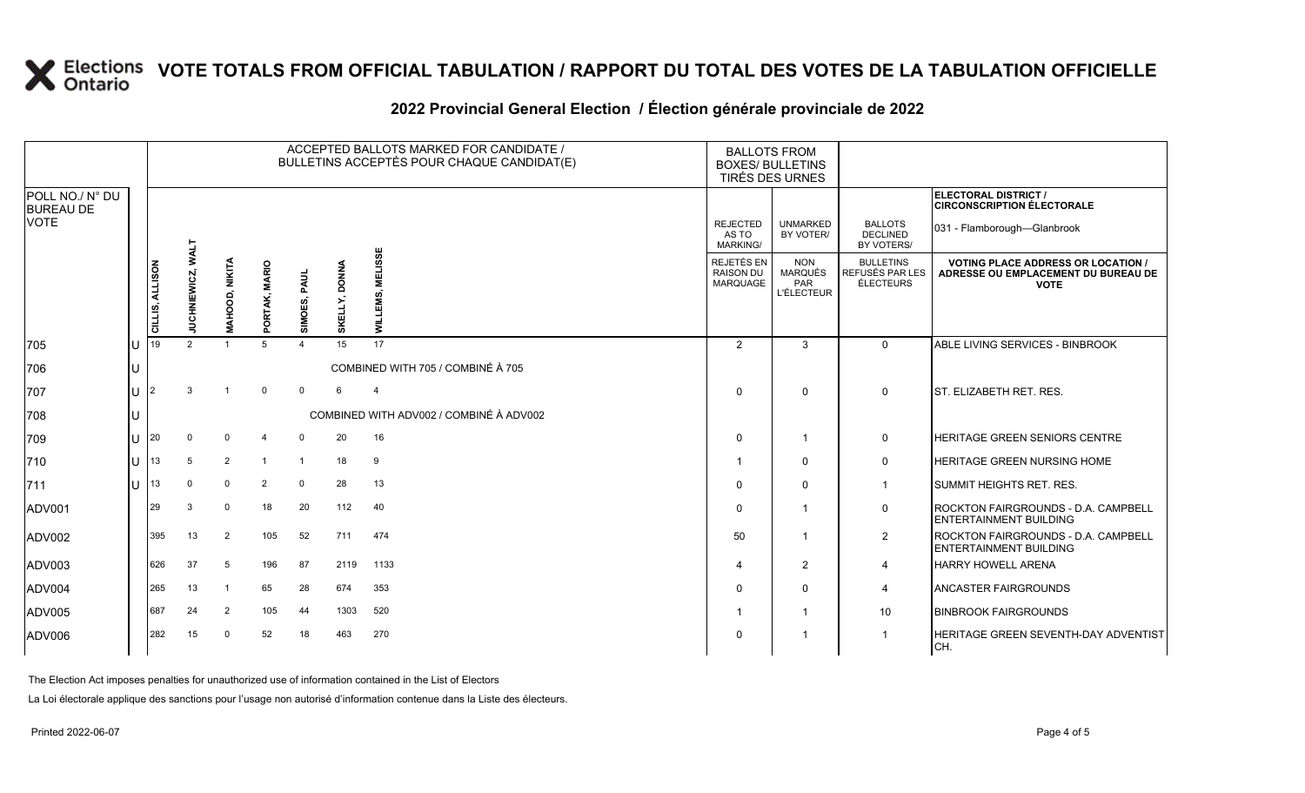|                                     |              |                           |               |                           |                |              |               | ACCEPTED BALLOTS MARKED FOR CANDIDATE /<br>BULLETINS ACCEPTÉS POUR CHAQUE CANDIDAT(E) | <b>BALLOTS FROM</b><br><b>BOXES/ BULLETINS</b><br>TIRÉS DES URNES |                                                   |                                                  |                                                                                                 |
|-------------------------------------|--------------|---------------------------|---------------|---------------------------|----------------|--------------|---------------|---------------------------------------------------------------------------------------|-------------------------------------------------------------------|---------------------------------------------------|--------------------------------------------------|-------------------------------------------------------------------------------------------------|
| POLL NO./ N° DU<br><b>BUREAU DE</b> |              |                           |               |                           |                |              |               |                                                                                       |                                                                   |                                                   |                                                  | ELECTORAL DISTRICT /<br><b>CIRCONSCRIPTION ÉLECTORALE</b>                                       |
| VOTE                                |              |                           | <b>TTANA</b>  |                           |                |              |               |                                                                                       | <b>REJECTED</b><br>AS TO<br>MARKING/                              | <b>UNMARKED</b><br>BY VOTER/                      | <b>BALLOTS</b><br><b>DECLINED</b><br>BY VOTERS/  | 031 - Flamborough-Glanbrook                                                                     |
|                                     |              | <b>MLLISON</b><br>CILLIS, | UCHNIEWICZ,   | OOD, NIKITA<br><b>HAH</b> | PORTAK, MARIO  | SIMOES, PAUL | SKELLY, DONNA | <b>MELISSE</b><br>EMS,<br><b>NITN</b>                                                 | REJETÉS EN<br><b>RAISON DU</b><br><b>MARQUAGE</b>                 | <b>NON</b><br>MARQUÉS<br>PAR<br><b>L'ÉLECTEUR</b> | <b>BULLETINS</b><br>REFUSÉS PAR LES<br>ÉLECTEURS | <b>VOTING PLACE ADDRESS OR LOCATION /</b><br>ADRESSE OU EMPLACEMENT DU BUREAU DE<br><b>VOTE</b> |
| 705                                 | $\cup$       | 119                       | $\mathcal{P}$ |                           | 5              |              | 15            | 17                                                                                    | 2                                                                 | 3                                                 | $\Omega$                                         | ABLE LIVING SERVICES - BINBROOK                                                                 |
| 706                                 |              |                           |               |                           |                |              |               | COMBINED WITH 705 / COMBINÉ À 705                                                     |                                                                   |                                                   |                                                  |                                                                                                 |
| 707                                 | U            |                           | 3             |                           | $\mathbf 0$    | $\Omega$     | 6             | $\overline{4}$                                                                        | 0                                                                 | $\Omega$                                          | $\Omega$                                         | <b>ST. ELIZABETH RET. RES.</b>                                                                  |
| 708                                 |              |                           |               |                           |                |              |               | COMBINED WITH ADV002 / COMBINÉ À ADV002                                               |                                                                   |                                                   |                                                  |                                                                                                 |
| 709                                 | $\mathbf{U}$ | 20                        | $\mathbf 0$   | $\mathbf{0}$              | $\overline{4}$ | $\Omega$     | 20            | 16                                                                                    | $\mathbf 0$                                                       |                                                   | $\mathbf 0$                                      | <b>HERITAGE GREEN SENIORS CENTRE</b>                                                            |
| 710                                 | $\mathbf{U}$ | 13                        | 5             | $\overline{2}$            | $\overline{1}$ | $\mathbf{1}$ | 18            | 9                                                                                     | $\mathbf 1$                                                       | $\Omega$                                          | $\mathbf 0$                                      | <b>HERITAGE GREEN NURSING HOME</b>                                                              |
| 711                                 | $\mathbf{U}$ | 13                        | $\Omega$      | $\mathbf{0}$              | $\overline{2}$ | $\mathbf 0$  | 28            | 13                                                                                    | $\mathbf 0$                                                       | $\Omega$                                          | $\mathbf 1$                                      | <b>SUMMIT HEIGHTS RET. RES.</b>                                                                 |
| ADV001                              |              | 29                        | 3             | $\Omega$                  | 18             | 20           | 112           | 40                                                                                    | $\mathbf 0$                                                       |                                                   | 0                                                | <b>IROCKTON FAIRGROUNDS - D.A. CAMPBELL</b><br><b>ENTERTAINMENT BUILDING</b>                    |
| ADV002                              |              | 395                       | 13            | 2                         | 105            | 52           | 711           | 474                                                                                   | 50                                                                |                                                   | 2                                                | <b>IROCKTON FAIRGROUNDS - D.A. CAMPBELL</b><br><b>IENTERTAINMENT BUILDING</b>                   |
| ADV003                              |              | 626                       | 37            | 5                         | 196            | 87           | 2119          | 1133                                                                                  | $\overline{4}$                                                    | 2                                                 | 4                                                | <b>HARRY HOWELL ARENA</b>                                                                       |
| ADV004                              |              | 265                       | 13            |                           | 65             | 28           | 674           | 353                                                                                   | 0                                                                 | $\Omega$                                          | $\overline{4}$                                   | <b>ANCASTER FAIRGROUNDS</b>                                                                     |
| ADV005                              |              | 687                       | 24            | $\overline{2}$            | 105            | 44           | 1303          | 520                                                                                   | $\mathbf 1$                                                       |                                                   | 10                                               | <b>BINBROOK FAIRGROUNDS</b>                                                                     |
| ADV006                              |              | 282                       | 15            | $\Omega$                  | 52             | 18           | 463           | 270                                                                                   | $\mathbf 0$                                                       |                                                   | $\mathbf 1$                                      | HERITAGE GREEN SEVENTH-DAY ADVENTIST<br>CH.                                                     |

#### **2022 Provincial General Election / Élection générale provinciale de 2022**

The Election Act imposes penalties for unauthorized use of information contained in the List of Electors